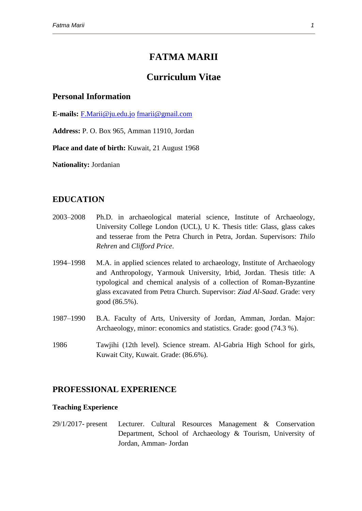# **FATMA MARII**

## **Curriculum Vitae**

### **Personal Information**

**E-mails:** [F.Marii@ju.edu.jo](mailto:F.Marii@ju.edu.jo) [fmarii@gmail.com](mailto:fmarii@gmail.com)

**Address:** P. O. Box 965, Amman 11910, Jordan

**Place and date of birth:** Kuwait, 21 August 1968

**Nationality:** Jordanian

### **EDUCATION**

- 2003–2008 Ph.D. in archaeological material science, Institute of Archaeology, University College London (UCL), U K. Thesis title: Glass, glass cakes and tesserae from the Petra Church in Petra, Jordan. Supervisors: *Thilo Rehren* and *Clifford Price*.
- 1994–1998 M.A. in applied sciences related to archaeology, Institute of Archaeology and Anthropology, Yarmouk University, Irbid, Jordan. Thesis title: A typological and chemical analysis of a collection of Roman-Byzantine glass excavated from Petra Church. Supervisor: *Ziad Al-Saad*. Grade: very good (86.5%).
- 1987–1990 B.A. Faculty of Arts, University of Jordan, Amman, Jordan. Major: Archaeology, minor: economics and statistics. Grade: good (74.3 %).
- 1986 Tawjihi (12th level). Science stream. Al-Gabria High School for girls, Kuwait City, Kuwait. Grade: (86.6%).

### **PROFESSIONAL EXPERIENCE**

#### **Teaching Experience**

29/1/2017- present Lecturer. Cultural Resources Management & Conservation Department, School of Archaeology & Tourism, University of Jordan, Amman- Jordan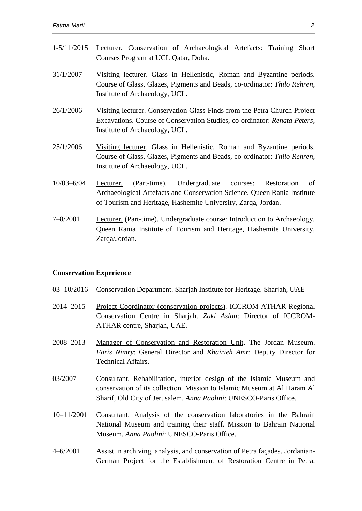| $1 - 5/11/2015$ | Lecturer. Conservation of Archaeological Artefacts: Training Short<br>Courses Program at UCL Qatar, Doha.                                                                                                          |
|-----------------|--------------------------------------------------------------------------------------------------------------------------------------------------------------------------------------------------------------------|
| 31/1/2007       | Visiting lecturer. Glass in Hellenistic, Roman and Byzantine periods.<br>Course of Glass, Glazes, Pigments and Beads, co-ordinator: Thilo Rehren,<br>Institute of Archaeology, UCL.                                |
| 26/1/2006       | Visiting lecturer. Conservation Glass Finds from the Petra Church Project<br>Excavations. Course of Conservation Studies, co-ordinator: Renata Peters,<br>Institute of Archaeology, UCL.                           |
| 25/1/2006       | Visiting lecturer. Glass in Hellenistic, Roman and Byzantine periods.<br>Course of Glass, Glazes, Pigments and Beads, co-ordinator: Thilo Rehren,<br>Institute of Archaeology, UCL.                                |
| $10/03 - 6/04$  | (Part-time). Undergraduate courses:<br>Restoration<br>of<br>Lecturer.<br>Archaeological Artefacts and Conservation Science. Queen Rania Institute<br>of Tourism and Heritage, Hashemite University, Zarqa, Jordan. |
| $7 - 8/2001$    | <b>Lecturer.</b> (Part-time). Undergraduate course: Introduction to Archaeology.<br>Queen Rania Institute of Tourism and Heritage, Hashemite University,<br>Zarqa/Jordan.                                          |

### **Conservation Experience**

- 03 -10/2016 Conservation Department. Sharjah Institute for Heritage. Sharjah, UAE
- 2014–2015 Project Coordinator (conservation projects). ICCROM-ATHAR Regional Conservation Centre in Sharjah. *Zaki Aslan*: Director of ICCROM-ATHAR centre, Sharjah, UAE.
- 2008–2013 Manager of Conservation and Restoration Unit. The Jordan Museum. *Faris Nimry*: General Director and *Khairieh Amr*: Deputy Director for Technical Affairs.
- 03/2007 Consultant. Rehabilitation, interior design of the Islamic Museum and conservation of its collection. Mission to Islamic Museum at Al Haram Al Sharif, Old City of Jerusalem. *Anna Paolini*: UNESCO-Paris Office.
- 10–11/2001 Consultant. Analysis of the conservation laboratories in the Bahrain National Museum and training their staff. Mission to Bahrain National Museum. *Anna Paolini*: UNESCO-Paris Office.
- 4–6/2001 Assist in archiving, analysis, and conservation of Petra façades. Jordanian-German Project for the Establishment of Restoration Centre in Petra.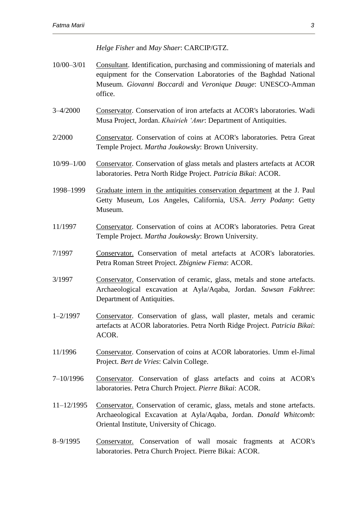*Helge Fisher* and *May Shaer*: CARCIP/GTZ.

- 10/00–3/01 Consultant. Identification, purchasing and commissioning of materials and equipment for the Conservation Laboratories of the Baghdad National Museum. *Giovanni Boccardi* and *Veronique Dauge*: UNESCO-Amman office.
- 3–4/2000 Conservator. Conservation of iron artefacts at ACOR's laboratories. Wadi Musa Project, Jordan. *Khairieh 'Amr*: Department of Antiquities.
- 2/2000 Conservator. Conservation of coins at ACOR's laboratories. Petra Great Temple Project. *Martha Joukowsky*: Brown University.
- 10/99–1/00 Conservator. Conservation of glass metals and plasters artefacts at ACOR laboratories. Petra North Ridge Project. *Patricia Bikai*: ACOR.
- 1998–1999 Graduate intern in the antiquities conservation department at the J. Paul Getty Museum, Los Angeles, California, USA. *Jerry Podany*: Getty Museum.
- 11/1997 Conservator. Conservation of coins at ACOR's laboratories. Petra Great Temple Project. *Martha Joukowsky*: Brown University.
- 7/1997 Conservator. Conservation of metal artefacts at ACOR's laboratories. Petra Roman Street Project. *Zbigniew Fiema*: ACOR.
- 3/1997 Conservator. Conservation of ceramic, glass, metals and stone artefacts. Archaeological excavation at Ayla/Aqaba, Jordan. *Sawsan Fakhree*: Department of Antiquities.
- 1–2/1997 Conservator. Conservation of glass, wall plaster, metals and ceramic artefacts at ACOR laboratories. Petra North Ridge Project. *Patricia Bikai*: ACOR.
- 11/1996 Conservator. Conservation of coins at ACOR laboratories. Umm el-Jimal Project. *Bert de Vries*: Calvin College.
- 7–10/1996 Conservator. Conservation of glass artefacts and coins at ACOR's laboratories. Petra Church Project. *Pierre Bikai*: ACOR.
- 11–12/1995 Conservator. Conservation of ceramic, glass, metals and stone artefacts. Archaeological Excavation at Ayla/Aqaba, Jordan. *Donald Whitcomb*: Oriental Institute, University of Chicago.
- 8–9/1995 Conservator. Conservation of wall mosaic fragments at ACOR's laboratories. Petra Church Project. Pierre Bikai: ACOR.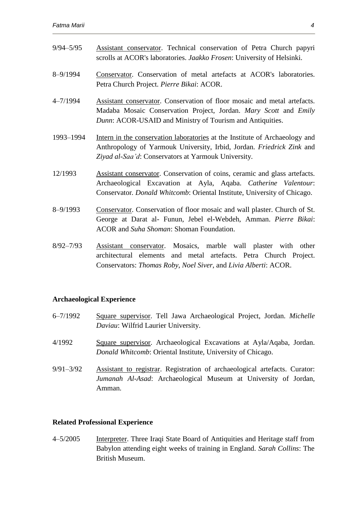| $9/94 - 5/95$ | Assistant conservator. Technical conservation of Petra Church papyri<br>scrolls at ACOR's laboratories. Jaakko Frosen: University of Helsinki.                                                                           |
|---------------|--------------------------------------------------------------------------------------------------------------------------------------------------------------------------------------------------------------------------|
| $8 - 9/1994$  | Conservator. Conservation of metal artefacts at ACOR's laboratories.<br>Petra Church Project. Pierre Bikai: ACOR.                                                                                                        |
| $4 - 7/1994$  | Assistant conservator. Conservation of floor mosaic and metal artefacts.<br>Madaba Mosaic Conservation Project, Jordan. Mary Scott and Emily<br>Dunn: ACOR-USAID and Ministry of Tourism and Antiquities.                |
| 1993-1994     | Intern in the conservation laboratories at the Institute of Archaeology and<br>Anthropology of Yarmouk University, Irbid, Jordan. Friedrick Zink and<br>Ziyad al-Saa'd: Conservators at Yarmouk University.              |
| 12/1993       | Assistant conservator. Conservation of coins, ceramic and glass artefacts.<br>Archaeological Excavation at Ayla, Aqaba. Catherine Valentour:<br>Conservator. Donald Whitcomb: Oriental Institute, University of Chicago. |
| $8 - 9/1993$  | Conservator. Conservation of floor mosaic and wall plaster. Church of St.<br>George at Darat al- Funun, Jebel el-Webdeh, Amman. Pierre Bikai:<br>ACOR and Suha Shoman: Shoman Foundation.                                |
| $8/92 - 7/93$ | Mosaics, marble wall plaster with other<br>Assistant conservator.<br>and metal artefacts. Petra Church Project.<br>architectural elements<br>Conservators: Thomas Roby, Noel Siver, and Livia Alberti: ACOR.             |

### **Archaeological Experience**

| $6 - 7/1992$  | Square supervisor. Tell Jawa Archaeological Project, Jordan. Michelle<br>Daviau: Wilfrid Laurier University.                                          |
|---------------|-------------------------------------------------------------------------------------------------------------------------------------------------------|
| 4/1992        | Square supervisor. Archaeological Excavations at Ayla/Aqaba, Jordan.<br>Donald Whitcomb: Oriental Institute, University of Chicago.                   |
| $9/91 - 3/92$ | Assistant to registrar. Registration of archaeological artefacts. Curator:<br><i>Jumanah Al-Asad</i> : Archaeological Museum at University of Jordan, |

# **Related Professional Experience**

Amman.

4–5/2005 Interpreter. Three Iraqi State Board of Antiquities and Heritage staff from Babylon attending eight weeks of training in England. *Sarah Collins*: The British Museum.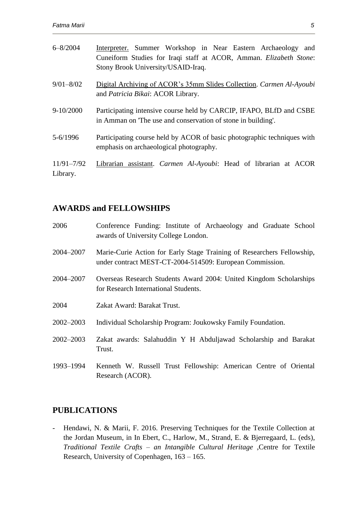| $6 - 8/2004$               | Interpreter. Summer Workshop in Near Eastern Archaeology and<br>Cuneiform Studies for Iraqi staff at ACOR, Amman. Elizabeth Stone:<br>Stony Brook University/USAID-Iraq. |
|----------------------------|--------------------------------------------------------------------------------------------------------------------------------------------------------------------------|
| $9/01 - 8/02$              | Digital Archiving of ACOR's 35mm Slides Collection. Carmen Al-Ayoubi<br>and Patricia Bikai: ACOR Library.                                                                |
| $9 - 10/2000$              | Participating intensive course held by CARCIP, IFAPO, BLfD and CSBE<br>in Amman on The use and conservation of stone in building'.                                       |
| $5 - 6/1996$               | Participating course held by ACOR of basic photographic techniques with<br>emphasis on archaeological photography.                                                       |
| $11/91 - 7/92$<br>Library. | Librarian assistant. <i>Carmen Al-Ayoubi</i> : Head of librarian at ACOR                                                                                                 |

# **AWARDS and FELLOWSHIPS**

| 2006          | Conference Funding: Institute of Archaeology and Graduate School<br>awards of University College London.                           |
|---------------|------------------------------------------------------------------------------------------------------------------------------------|
| 2004–2007     | Marie-Curie Action for Early Stage Training of Researchers Fellowship,<br>under contract MEST-CT-2004-514509: European Commission. |
| 2004-2007     | Overseas Research Students Award 2004: United Kingdom Scholarships<br>for Research International Students.                         |
| 2004          | Zakat Award: Barakat Trust.                                                                                                        |
| 2002-2003     | Individual Scholarship Program: Joukowsky Family Foundation.                                                                       |
| $2002 - 2003$ | Zakat awards: Salahuddin Y H Abduljawad Scholarship and Barakat<br>Trust.                                                          |
| 1993–1994     | Kenneth W. Russell Trust Fellowship: American Centre of Oriental<br>Research (ACOR).                                               |

# **PUBLICATIONS**

- Hendawi, N. & Marii, F. 2016. Preserving Techniques for the Textile Collection at the Jordan Museum, in In Ebert, C., Harlow, M., Strand, E. & Bjerregaard, L. (eds), *Traditional Textile Crafts – an Intangible Cultural Heritage* ,Centre for Textile Research, University of Copenhagen, 163 – 165.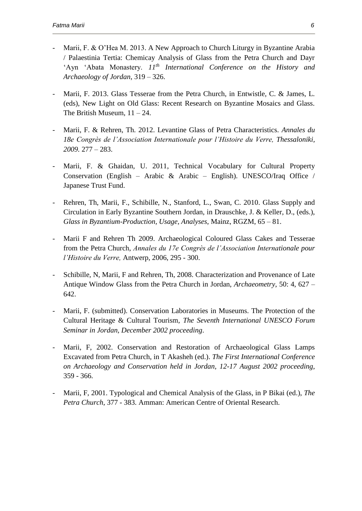- Marii, F. & O'Hea M. 2013. A New Approach to Church Liturgy in Byzantine Arabia / Palaestinia Tertia: Chemicay Analysis of Glass from the Petra Church and Dayr 'Ayn 'Abata Monastery. *11th International Conference on the History and Archaeology of Jordan*, 319 – 326.
- Marii, F. 2013. Glass Tesserae from the Petra Church, in Entwistle, C. & James, L. (eds), New Light on Old Glass: Recent Research on Byzantine Mosaics and Glass. The British Museum,  $11 - 24$ .
- Marii, F. & Rehren, Th. 2012. Levantine Glass of Petra Characteristics. *Annales du 18e Congrès de l'Association Internationale pour l'Histoire du Verre, Thessaloniki, 2009.* 277 – 283.
- Marii, F. & Ghaidan, U. 2011, Technical Vocabulary for Cultural Property Conservation (English – Arabic & Arabic – English). UNESCO/Iraq Office / Japanese Trust Fund.
- Rehren, Th, Marii, F., Schibille, N., Stanford, L., Swan, C. 2010. Glass Supply and Circulation in Early Byzantine Southern Jordan, in Drauschke, J. & Keller, D., (eds.), *Glass in Byzantium-Production, Usage, Analyses*, Mainz, RGZM, 65 – 81.
- Marii F and Rehren Th 2009. Archaeological Coloured Glass Cakes and Tesserae from the Petra Church, *Annales du 17e Congrès de l'Association Internationale pour l'Histoire du Verre,* Antwerp, 2006, 295 - 300.
- Schibille, N, Marii, F and Rehren, Th, 2008. Characterization and Provenance of Late Antique Window Glass from the Petra Church in Jordan, *Archaeometry*, 50: 4, 627 – 642.
- Marii, F. (submitted). Conservation Laboratories in Museums. The Protection of the Cultural Heritage & Cultural Tourism, *The Seventh International UNESCO Forum Seminar in Jordan, December 2002 proceeding*.
- Marii, F, 2002. Conservation and Restoration of Archaeological Glass Lamps Excavated from Petra Church, in T Akasheh (ed.). *The First International Conference on Archaeology and Conservation held in Jordan, 12-17 August 2002 proceeding*, 359 - 366.
- Marii, F, 2001. Typological and Chemical Analysis of the Glass, in P Bikai (ed.), *The Petra Church*, 377 - 383. Amman: American Centre of Oriental Research.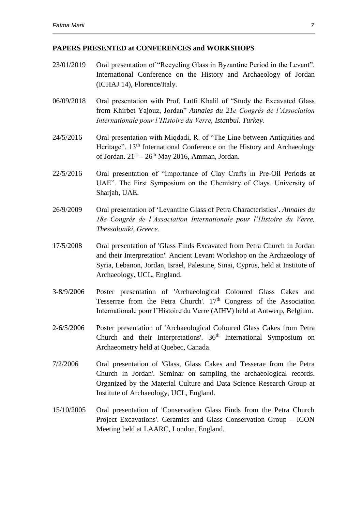### **PAPERS PRESENTED at CONFERENCES and WORKSHOPS**

- 23/01/2019 Oral presentation of "Recycling Glass in Byzantine Period in the Levant". International Conference on the History and Archaeology of Jordan (ICHAJ 14), Florence/Italy.
- 06/09/2018 Oral presentation with Prof. Lutfi Khalil of "Study the Excavated Glass from Khirbet Yajouz, Jordan" *Annales du 21e Congrès de l'Association Internationale pour l'Histoire du Verre, Istanbul. Turkey.*
- 24/5/2016 Oral presentation with Miqdadi, R. of "The Line between Antiquities and Heritage". 13<sup>th</sup> International Conference on the History and Archaeology of Jordan.  $21<sup>st</sup> - 26<sup>th</sup>$  May 2016, Amman, Jordan.
- 22/5/2016 Oral presentation of "Importance of Clay Crafts in Pre-Oil Periods at UAE". The First Symposium on the Chemistry of Clays. University of Sharjah, UAE.
- 26/9/2009 Oral presentation of 'Levantine Glass of Petra Characteristics'. *Annales du 18e Congrès de l'Association Internationale pour l'Histoire du Verre, Thessaloniki, Greece.*
- 17/5/2008 Oral presentation of 'Glass Finds Excavated from Petra Church in Jordan and their Interpretation'. Ancient Levant Workshop on the Archaeology of Syria, Lebanon, Jordan, Israel, Palestine, Sinai, Cyprus, held at Institute of Archaeology, UCL, England.
- 3-8/9/2006 Poster presentation of 'Archaeological Coloured Glass Cakes and Tesserrae from the Petra Church'.  $17<sup>th</sup>$  Congress of the Association Internationale pour l'Histoire du Verre (AIHV) held at Antwerp, Belgium.
- 2-6/5/2006 Poster presentation of 'Archaeological Coloured Glass Cakes from Petra Church and their Interpretations'. 36<sup>th</sup> International Symposium on Archaeometry held at Quebec, Canada.
- 7/2/2006 Oral presentation of 'Glass, Glass Cakes and Tesserae from the Petra Church in Jordan'. Seminar on sampling the archaeological records. Organized by the Material Culture and Data Science Research Group at Institute of Archaeology, UCL, England.
- 15/10/2005 Oral presentation of 'Conservation Glass Finds from the Petra Church Project Excavations'. Ceramics and Glass Conservation Group – ICON Meeting held at LAARC, London, England.